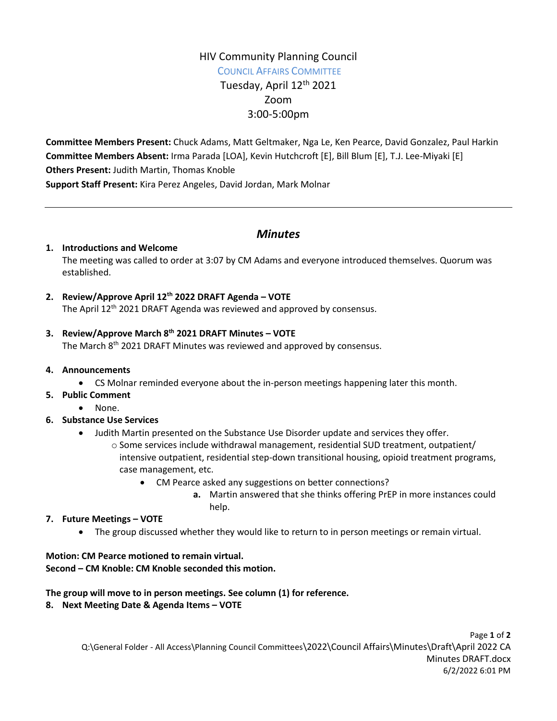# HIV Community Planning Council COUNCIL AFFAIRS COMMITTEE Tuesday, April 12<sup>th</sup> 2021 Zoom 3:00-5:00pm

**Committee Members Present:** Chuck Adams, Matt Geltmaker, Nga Le, Ken Pearce, David Gonzalez, Paul Harkin **Committee Members Absent:** Irma Parada [LOA], Kevin Hutchcroft [E], Bill Blum [E], T.J. Lee-Miyaki [E] **Others Present:** Judith Martin, Thomas Knoble **Support Staff Present:** Kira Perez Angeles, David Jordan, Mark Molnar

# *Minutes*

## **1. Introductions and Welcome**

The meeting was called to order at 3:07 by CM Adams and everyone introduced themselves. Quorum was established.

# **2. Review/Approve April 12th 2022 DRAFT Agenda – VOTE**

The April 12<sup>th</sup> 2021 DRAFT Agenda was reviewed and approved by consensus.

## **3. Review/Approve March 8 th 2021 DRAFT Minutes – VOTE**

The March 8<sup>th</sup> 2021 DRAFT Minutes was reviewed and approved by consensus.

#### **4. Announcements**

- CS Molnar reminded everyone about the in-person meetings happening later this month.
- **5. Public Comment**
	- None.

## **6. Substance Use Services**

- Judith Martin presented on the Substance Use Disorder update and services they offer.
	- $\circ$  Some services include withdrawal management, residential SUD treatment, outpatient/ intensive outpatient, residential step-down transitional housing, opioid treatment programs, case management, etc.
		- CM Pearce asked any suggestions on better connections?
			- **a.** Martin answered that she thinks offering PrEP in more instances could help.

#### **7. Future Meetings – VOTE**

The group discussed whether they would like to return to in person meetings or remain virtual.

# **Motion: CM Pearce motioned to remain virtual.**

#### **Second – CM Knoble: CM Knoble seconded this motion.**

#### **The group will move to in person meetings. See column (1) for reference.**

#### **8. Next Meeting Date & Agenda Items – VOTE**